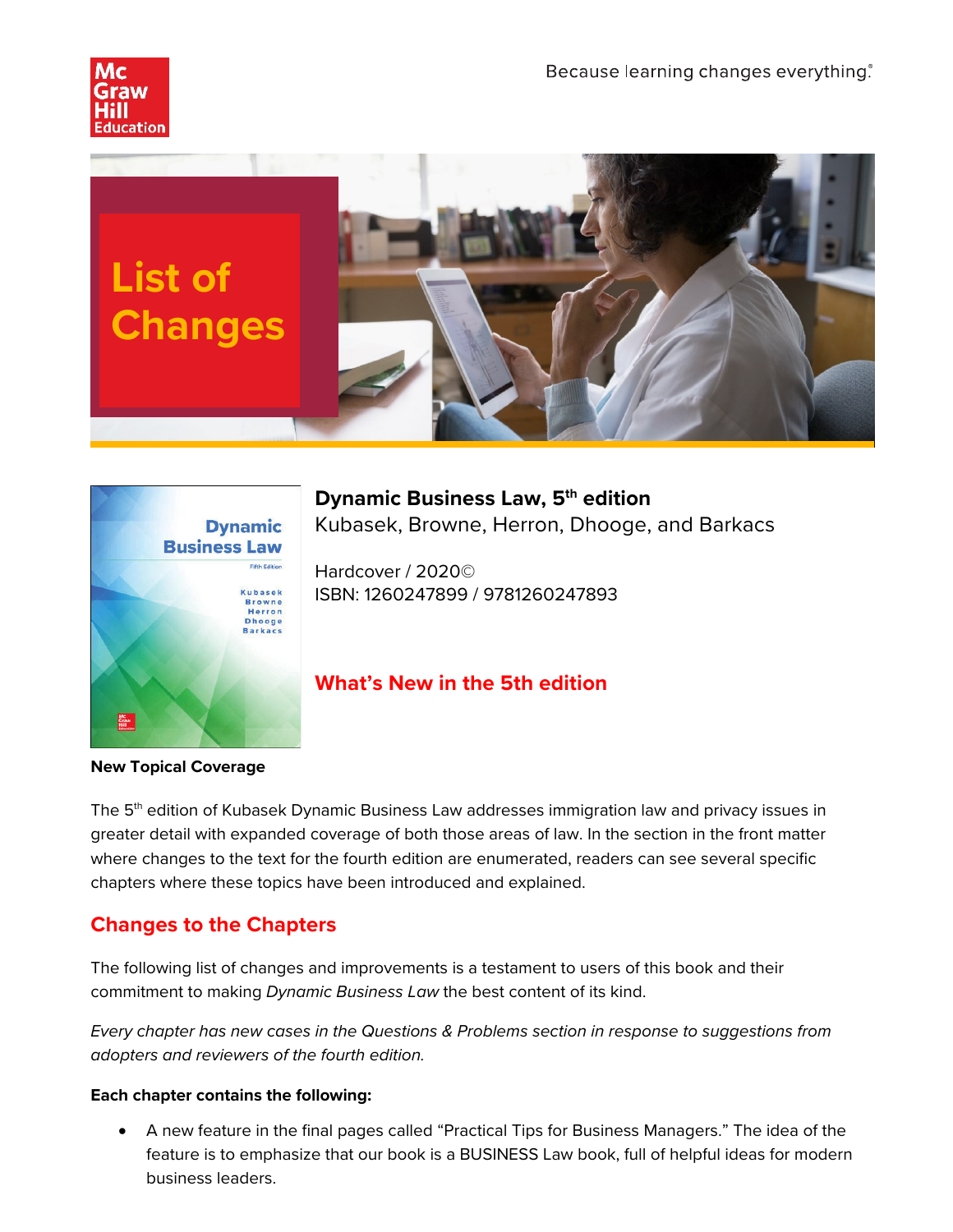





**Dynamic Business Law, 5 th edition** Kubasek, Browne, Herron, Dhooge, and Barkacs

Hardcover / 2020© ISBN: 1260247899 / 9781260247893

# **What's New in the 5th edition**

**New Topical Coverage** 

The 5<sup>th</sup> edition of Kubasek Dynamic Business Law addresses immigration law and privacy issues in greater detail with expanded coverage of both those areas of law. In the section in the front matter where changes to the text for the fourth edition are enumerated, readers can see several specific chapters where these topics have been introduced and explained.

# **Changes to the Chapters**

The following list of changes and improvements is a testament to users of this book and their commitment to making *Dynamic Business Law* the best content of its kind.

*Every chapter has new cases in the Questions & Problems section in response to suggestions from adopters and reviewers of the fourth edition.* 

### **Each chapter contains the following:**

• A new feature in the final pages called "Practical Tips for Business Managers." The idea of the feature is to emphasize that our book is a BUSINESS Law book, full of helpful ideas for modern business leaders.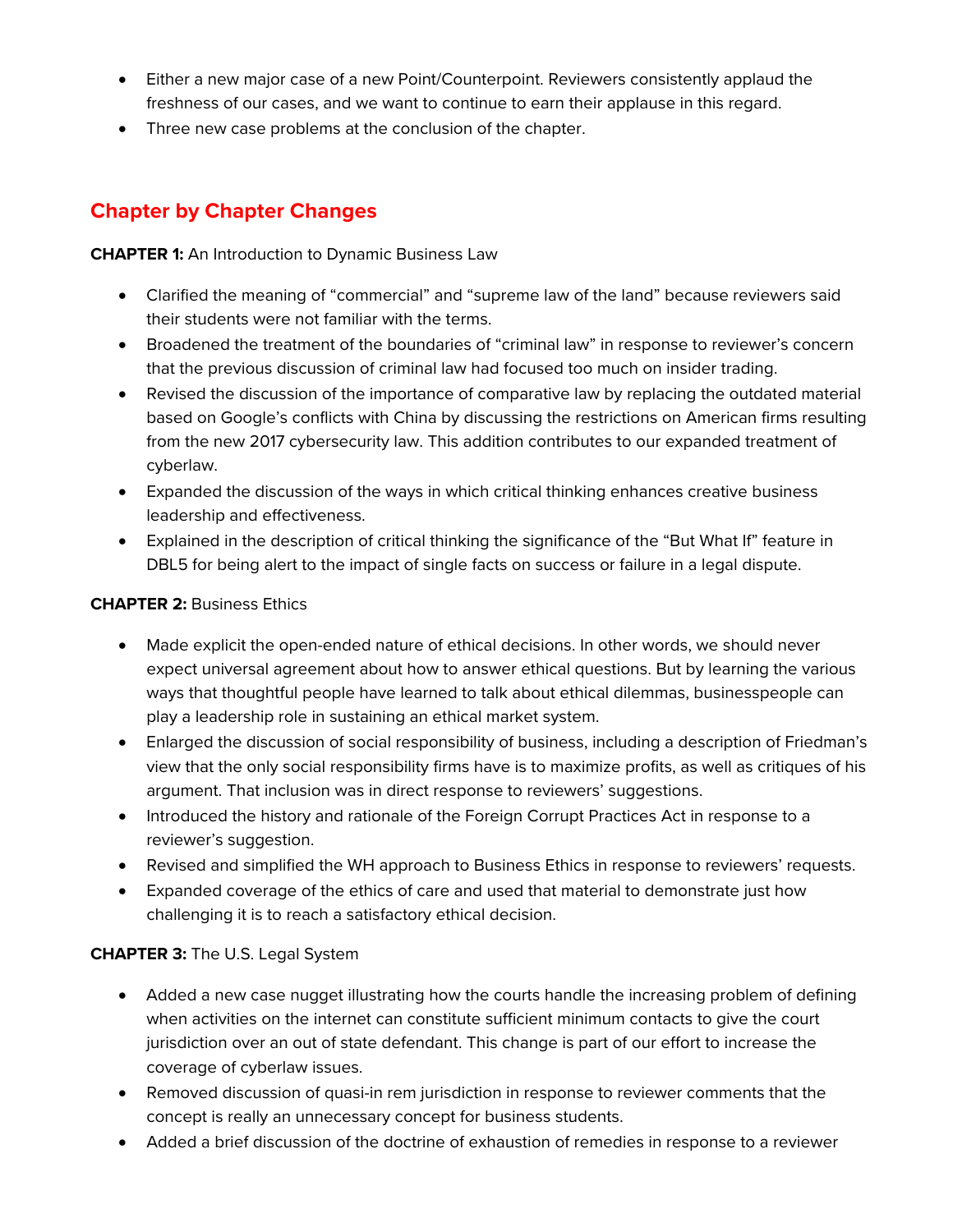- Either a new major case of a new Point/Counterpoint. Reviewers consistently applaud the freshness of our cases, and we want to continue to earn their applause in this regard.
- Three new case problems at the conclusion of the chapter.

# **Chapter by Chapter Changes**

**CHAPTER 1:** An Introduction to Dynamic Business Law

- Clarified the meaning of "commercial" and "supreme law of the land" because reviewers said their students were not familiar with the terms.
- Broadened the treatment of the boundaries of "criminal law" in response to reviewer's concern that the previous discussion of criminal law had focused too much on insider trading.
- Revised the discussion of the importance of comparative law by replacing the outdated material based on Google's conflicts with China by discussing the restrictions on American firms resulting from the new 2017 cybersecurity law. This addition contributes to our expanded treatment of cyberlaw.
- Expanded the discussion of the ways in which critical thinking enhances creative business leadership and effectiveness.
- Explained in the description of critical thinking the significance of the "But What If" feature in DBL5 for being alert to the impact of single facts on success or failure in a legal dispute.

### **CHAPTER 2:** Business Ethics

- Made explicit the open-ended nature of ethical decisions. In other words, we should never expect universal agreement about how to answer ethical questions. But by learning the various ways that thoughtful people have learned to talk about ethical dilemmas, businesspeople can play a leadership role in sustaining an ethical market system.
- Enlarged the discussion of social responsibility of business, including a description of Friedman's view that the only social responsibility firms have is to maximize profits, as well as critiques of his argument. That inclusion was in direct response to reviewers' suggestions.
- Introduced the history and rationale of the Foreign Corrupt Practices Act in response to a reviewer's suggestion.
- Revised and simplified the WH approach to Business Ethics in response to reviewers' requests.
- Expanded coverage of the ethics of care and used that material to demonstrate just how challenging it is to reach a satisfactory ethical decision.

## **CHAPTER 3:** The U.S. Legal System

- Added a new case nugget illustrating how the courts handle the increasing problem of defining when activities on the internet can constitute sufficient minimum contacts to give the court jurisdiction over an out of state defendant. This change is part of our effort to increase the coverage of cyberlaw issues.
- Removed discussion of quasi-in rem jurisdiction in response to reviewer comments that the concept is really an unnecessary concept for business students.
- Added a brief discussion of the doctrine of exhaustion of remedies in response to a reviewer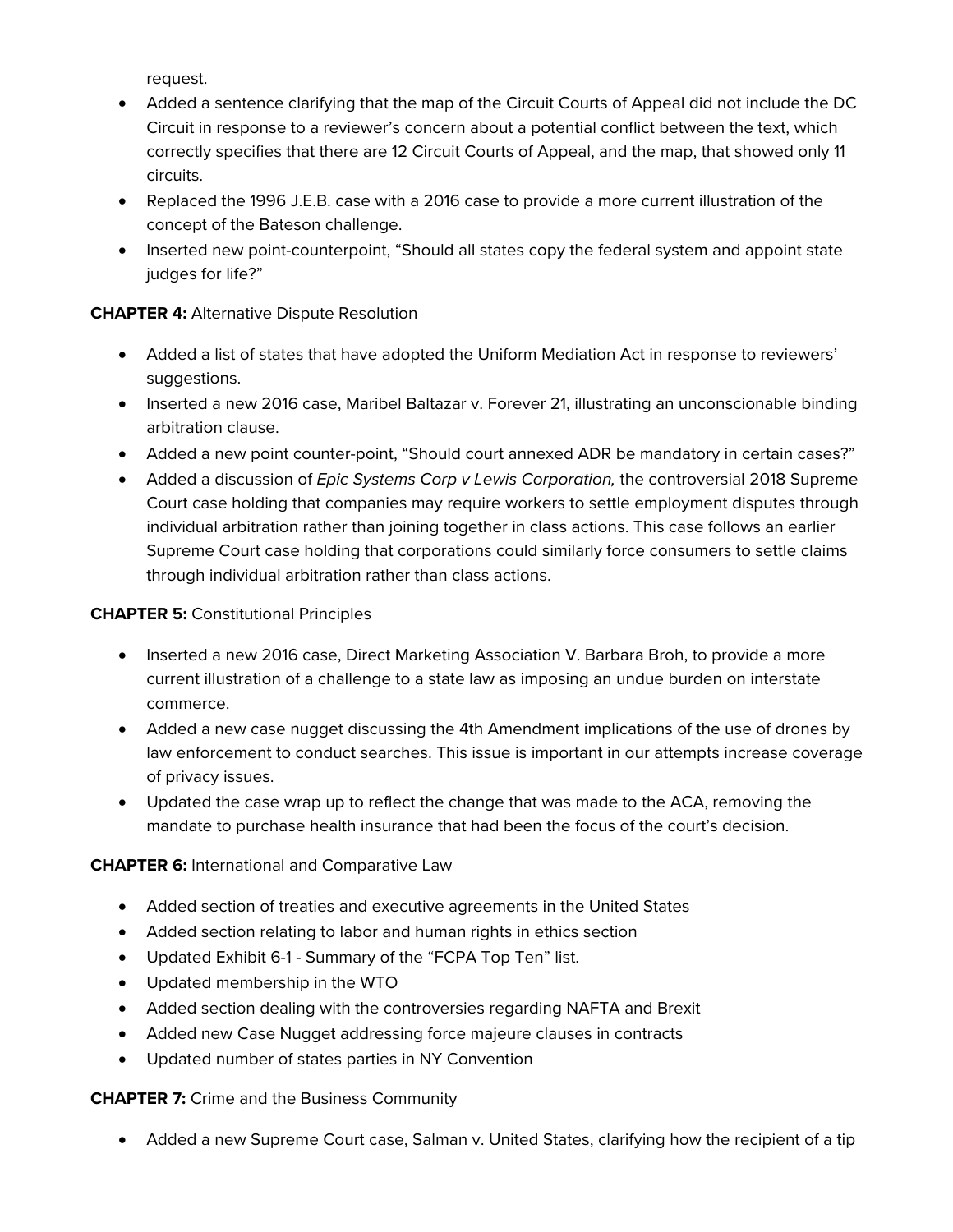request.

- Added a sentence clarifying that the map of the Circuit Courts of Appeal did not include the DC Circuit in response to a reviewer's concern about a potential conflict between the text, which correctly specifies that there are 12 Circuit Courts of Appeal, and the map, that showed only 11 circuits.
- Replaced the 1996 J.E.B. case with a 2016 case to provide a more current illustration of the concept of the Bateson challenge.
- Inserted new point-counterpoint, "Should all states copy the federal system and appoint state judges for life?"

### **CHAPTER 4:** Alternative Dispute Resolution

- Added a list of states that have adopted the Uniform Mediation Act in response to reviewers' suggestions.
- Inserted a new 2016 case, Maribel Baltazar v. Forever 21, illustrating an unconscionable binding arbitration clause.
- Added a new point counter-point, "Should court annexed ADR be mandatory in certain cases?"
- Added a discussion of *Epic Systems Corp v Lewis Corporation,* the controversial 2018 Supreme Court case holding that companies may require workers to settle employment disputes through individual arbitration rather than joining together in class actions. This case follows an earlier Supreme Court case holding that corporations could similarly force consumers to settle claims through individual arbitration rather than class actions.

### **CHAPTER 5:** Constitutional Principles

- Inserted a new 2016 case, Direct Marketing Association V. Barbara Broh, to provide a more current illustration of a challenge to a state law as imposing an undue burden on interstate commerce.
- Added a new case nugget discussing the 4th Amendment implications of the use of drones by law enforcement to conduct searches. This issue is important in our attempts increase coverage of privacy issues.
- Updated the case wrap up to reflect the change that was made to the ACA, removing the mandate to purchase health insurance that had been the focus of the court's decision.

### **CHAPTER 6:** International and Comparative Law

- Added section of treaties and executive agreements in the United States
- Added section relating to labor and human rights in ethics section
- Updated Exhibit 6-1 Summary of the "FCPA Top Ten" list.
- Updated membership in the WTO
- Added section dealing with the controversies regarding NAFTA and Brexit
- Added new Case Nugget addressing force majeure clauses in contracts
- Updated number of states parties in NY Convention

### **CHAPTER 7:** Crime and the Business Community

• Added a new Supreme Court case, Salman v. United States, clarifying how the recipient of a tip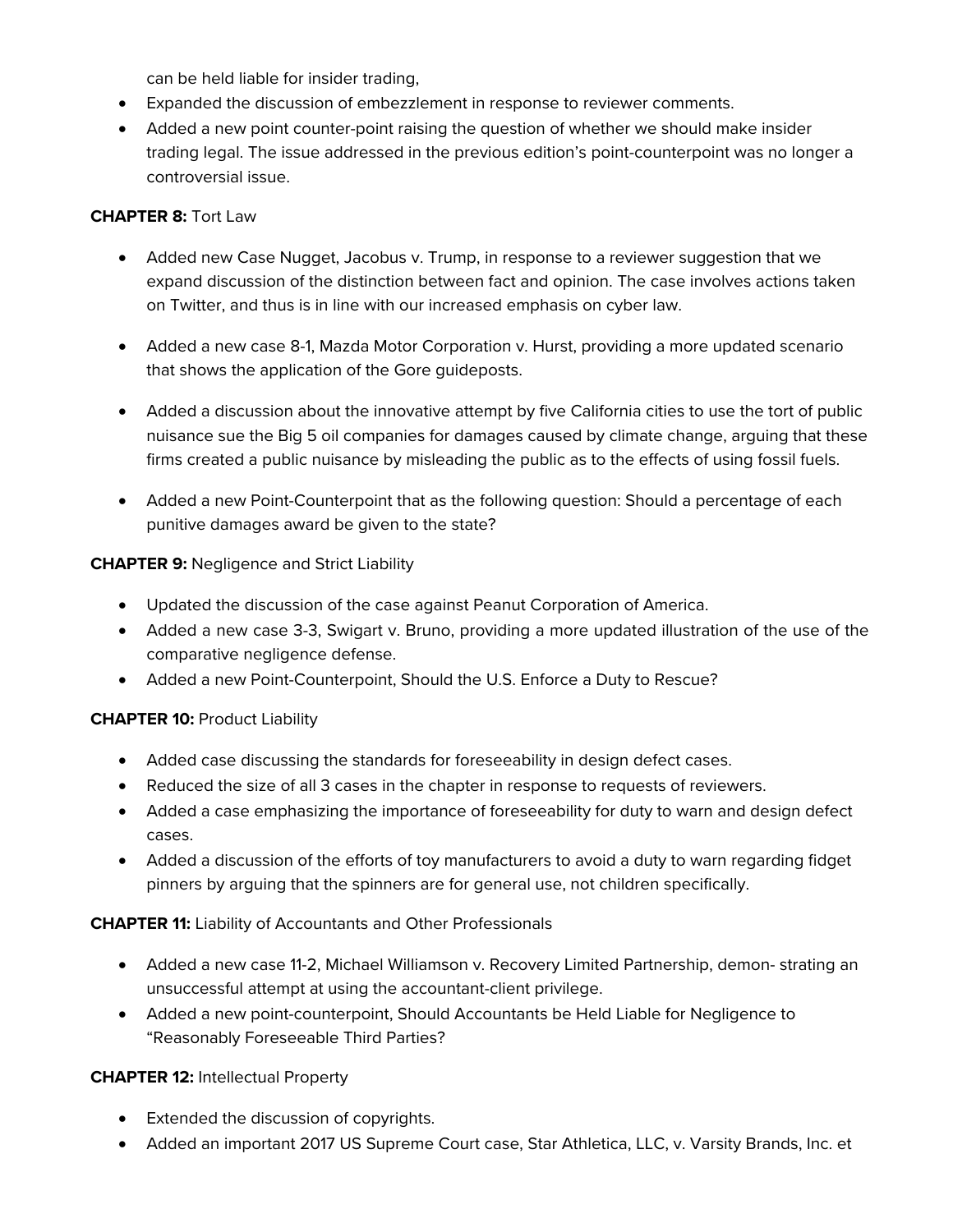can be held liable for insider trading,

- Expanded the discussion of embezzlement in response to reviewer comments.
- Added a new point counter-point raising the question of whether we should make insider trading legal. The issue addressed in the previous edition's point-counterpoint was no longer a controversial issue.

### **CHAPTER 8:** Tort Law

- Added new Case Nugget, Jacobus v. Trump, in response to a reviewer suggestion that we expand discussion of the distinction between fact and opinion. The case involves actions taken on Twitter, and thus is in line with our increased emphasis on cyber law.
- Added a new case 8-1, Mazda Motor Corporation v. Hurst, providing a more updated scenario that shows the application of the Gore guideposts.
- Added a discussion about the innovative attempt by five California cities to use the tort of public nuisance sue the Big 5 oil companies for damages caused by climate change, arguing that these firms created a public nuisance by misleading the public as to the effects of using fossil fuels.
- Added a new Point-Counterpoint that as the following question: Should a percentage of each punitive damages award be given to the state?

### **CHAPTER 9:** Negligence and Strict Liability

- Updated the discussion of the case against Peanut Corporation of America.
- Added a new case 3-3, Swigart v. Bruno, providing a more updated illustration of the use of the comparative negligence defense.
- Added a new Point-Counterpoint, Should the U.S. Enforce a Duty to Rescue?

### **CHAPTER 10: Product Liability**

- Added case discussing the standards for foreseeability in design defect cases.
- Reduced the size of all 3 cases in the chapter in response to requests of reviewers.
- Added a case emphasizing the importance of foreseeability for duty to warn and design defect cases.
- Added a discussion of the efforts of toy manufacturers to avoid a duty to warn regarding fidget pinners by arguing that the spinners are for general use, not children specifically.

### **CHAPTER 11:** Liability of Accountants and Other Professionals

- Added a new case 11-2, Michael Williamson v. Recovery Limited Partnership, demon- strating an unsuccessful attempt at using the accountant-client privilege.
- Added a new point-counterpoint, Should Accountants be Held Liable for Negligence to "Reasonably Foreseeable Third Parties?

### **CHAPTER 12:** Intellectual Property

- Extended the discussion of copyrights.
- Added an important 2017 US Supreme Court case, Star Athletica, LLC, v. Varsity Brands, Inc. et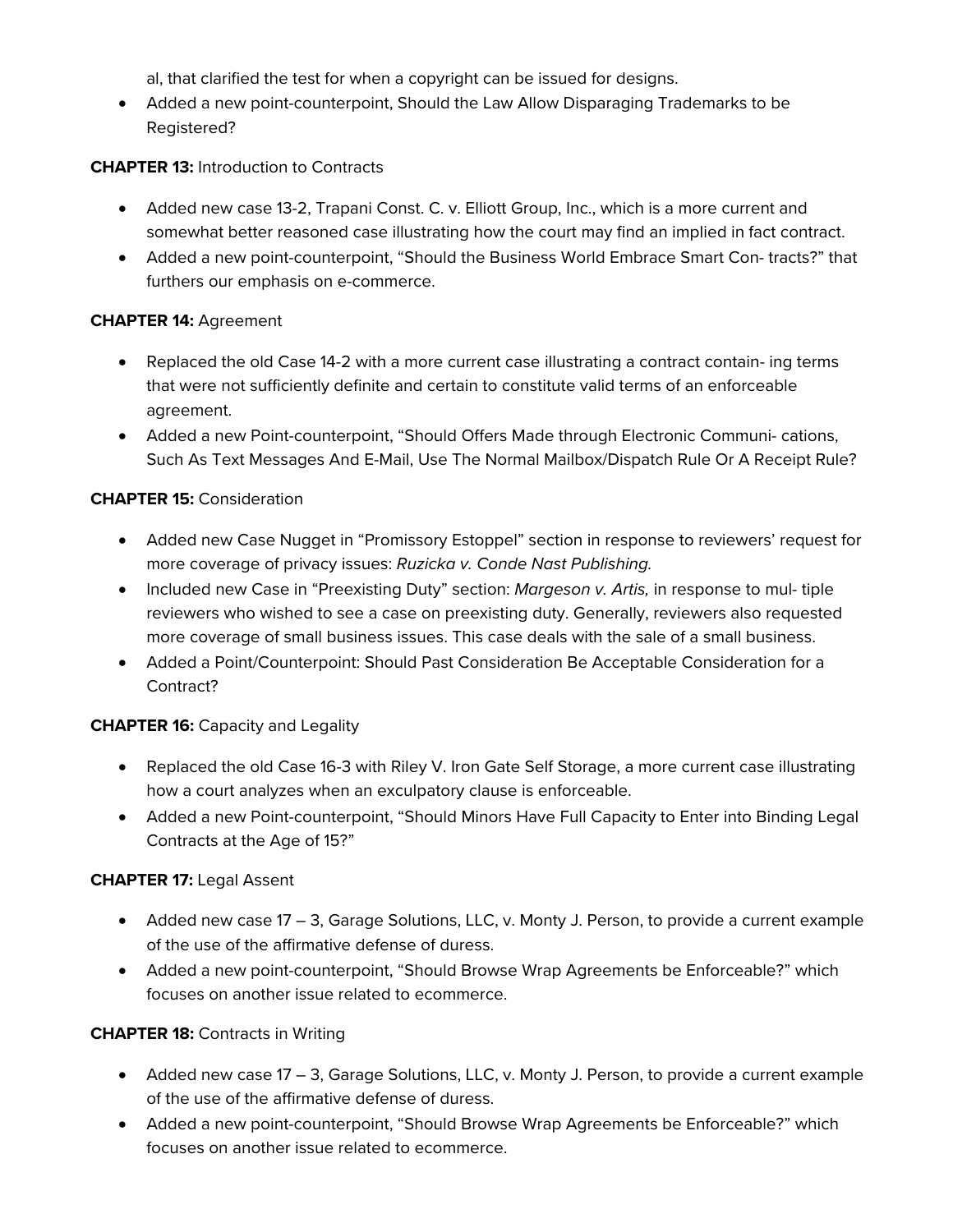al, that clarified the test for when a copyright can be issued for designs.

• Added a new point-counterpoint, Should the Law Allow Disparaging Trademarks to be Registered?

### **CHAPTER 13:** Introduction to Contracts

- Added new case 13-2, Trapani Const. C. v. Elliott Group, Inc., which is a more current and somewhat better reasoned case illustrating how the court may find an implied in fact contract.
- Added a new point-counterpoint, "Should the Business World Embrace Smart Con- tracts?" that furthers our emphasis on e-commerce.

### **CHAPTER 14:** Agreement

- Replaced the old Case 14-2 with a more current case illustrating a contract contain- ing terms that were not sufficiently definite and certain to constitute valid terms of an enforceable agreement.
- Added a new Point-counterpoint, "Should Offers Made through Electronic Communi- cations, Such As Text Messages And E-Mail, Use The Normal Mailbox/Dispatch Rule Or A Receipt Rule?

### **CHAPTER 15:** Consideration

- Added new Case Nugget in "Promissory Estoppel" section in response to reviewers' request for more coverage of privacy issues: *Ruzicka v. Conde Nast Publishing.*
- Included new Case in "Preexisting Duty" section: *Margeson v. Artis,* in response to mul- tiple reviewers who wished to see a case on preexisting duty. Generally, reviewers also requested more coverage of small business issues. This case deals with the sale of a small business.
- Added a Point/Counterpoint: Should Past Consideration Be Acceptable Consideration for a Contract?

### **CHAPTER 16: Capacity and Legality**

- Replaced the old Case 16-3 with Riley V. Iron Gate Self Storage, a more current case illustrating how a court analyzes when an exculpatory clause is enforceable.
- Added a new Point-counterpoint, "Should Minors Have Full Capacity to Enter into Binding Legal Contracts at the Age of 15?"

### **CHAPTER 17:** Legal Assent

- Added new case 17 3, Garage Solutions, LLC, v. Monty J. Person, to provide a current example of the use of the affirmative defense of duress.
- Added a new point-counterpoint, "Should Browse Wrap Agreements be Enforceable?" which focuses on another issue related to ecommerce.

### **CHAPTER 18:** Contracts in Writing

- Added new case 17 3, Garage Solutions, LLC, v. Monty J. Person, to provide a current example of the use of the affirmative defense of duress.
- Added a new point-counterpoint, "Should Browse Wrap Agreements be Enforceable?" which focuses on another issue related to ecommerce.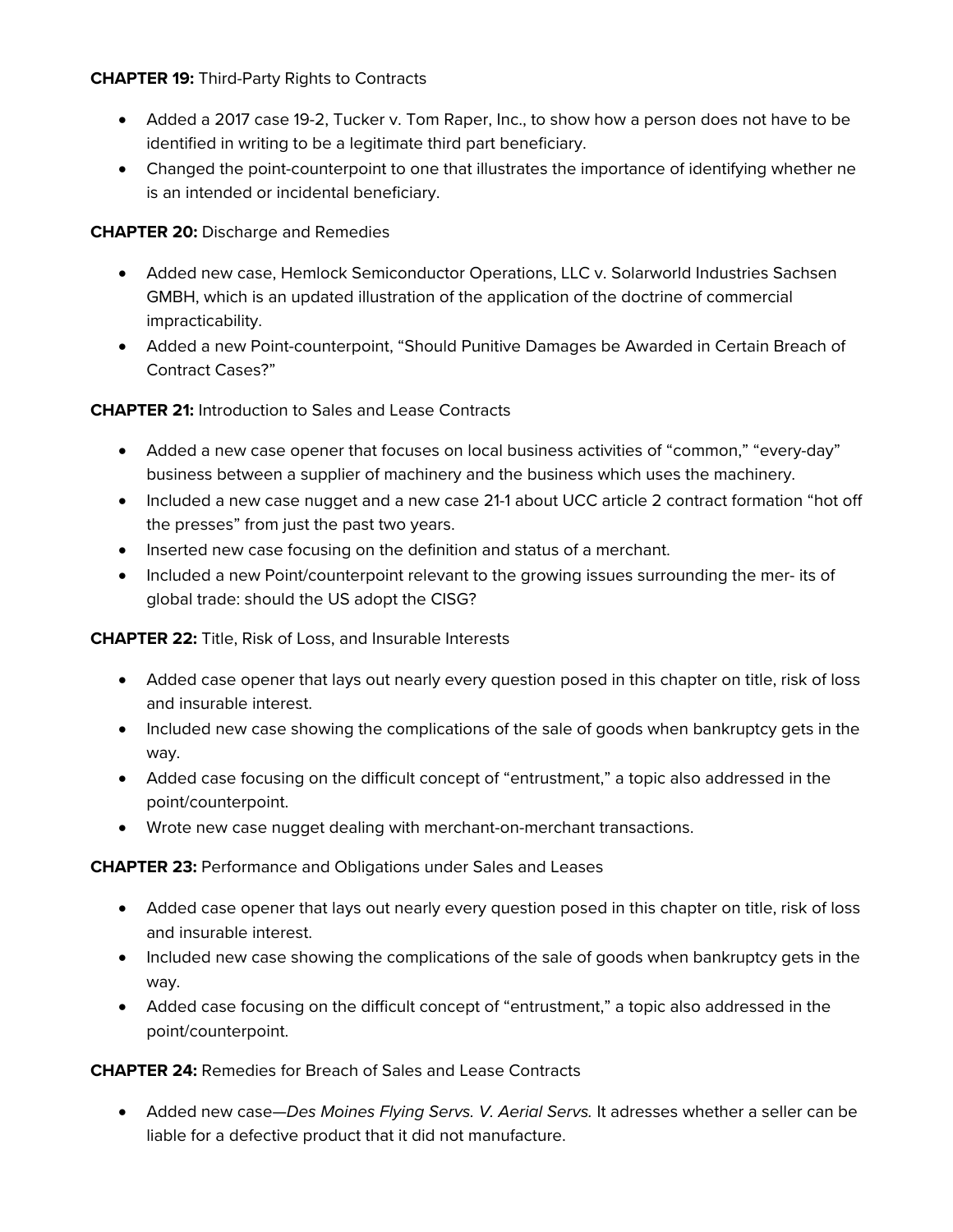**CHAPTER 19:** Third-Party Rights to Contracts

- Added a 2017 case 19-2, Tucker v. Tom Raper, Inc., to show how a person does not have to be identified in writing to be a legitimate third part beneficiary.
- Changed the point-counterpoint to one that illustrates the importance of identifying whether ne is an intended or incidental beneficiary.

**CHAPTER 20:** Discharge and Remedies

- Added new case, Hemlock Semiconductor Operations, LLC v. Solarworld Industries Sachsen GMBH, which is an updated illustration of the application of the doctrine of commercial impracticability.
- Added a new Point-counterpoint, "Should Punitive Damages be Awarded in Certain Breach of Contract Cases?"

**CHAPTER 21:** Introduction to Sales and Lease Contracts

- Added a new case opener that focuses on local business activities of "common," "every-day" business between a supplier of machinery and the business which uses the machinery.
- Included a new case nugget and a new case 21-1 about UCC article 2 contract formation "hot off the presses" from just the past two years.
- Inserted new case focusing on the definition and status of a merchant.
- Included a new Point/counterpoint relevant to the growing issues surrounding the mer- its of global trade: should the US adopt the CISG?

**CHAPTER 22:** Title, Risk of Loss, and Insurable Interests

- Added case opener that lays out nearly every question posed in this chapter on title, risk of loss and insurable interest.
- Included new case showing the complications of the sale of goods when bankruptcy gets in the way.
- Added case focusing on the difficult concept of "entrustment," a topic also addressed in the point/counterpoint.
- Wrote new case nugget dealing with merchant-on-merchant transactions.

**CHAPTER 23:** Performance and Obligations under Sales and Leases

- Added case opener that lays out nearly every question posed in this chapter on title, risk of loss and insurable interest.
- Included new case showing the complications of the sale of goods when bankruptcy gets in the way.
- Added case focusing on the difficult concept of "entrustment," a topic also addressed in the point/counterpoint.

**CHAPTER 24:** Remedies for Breach of Sales and Lease Contracts

• Added new case—*Des Moines Flying Servs. V. Aerial Servs.* It adresses whether a seller can be liable for a defective product that it did not manufacture.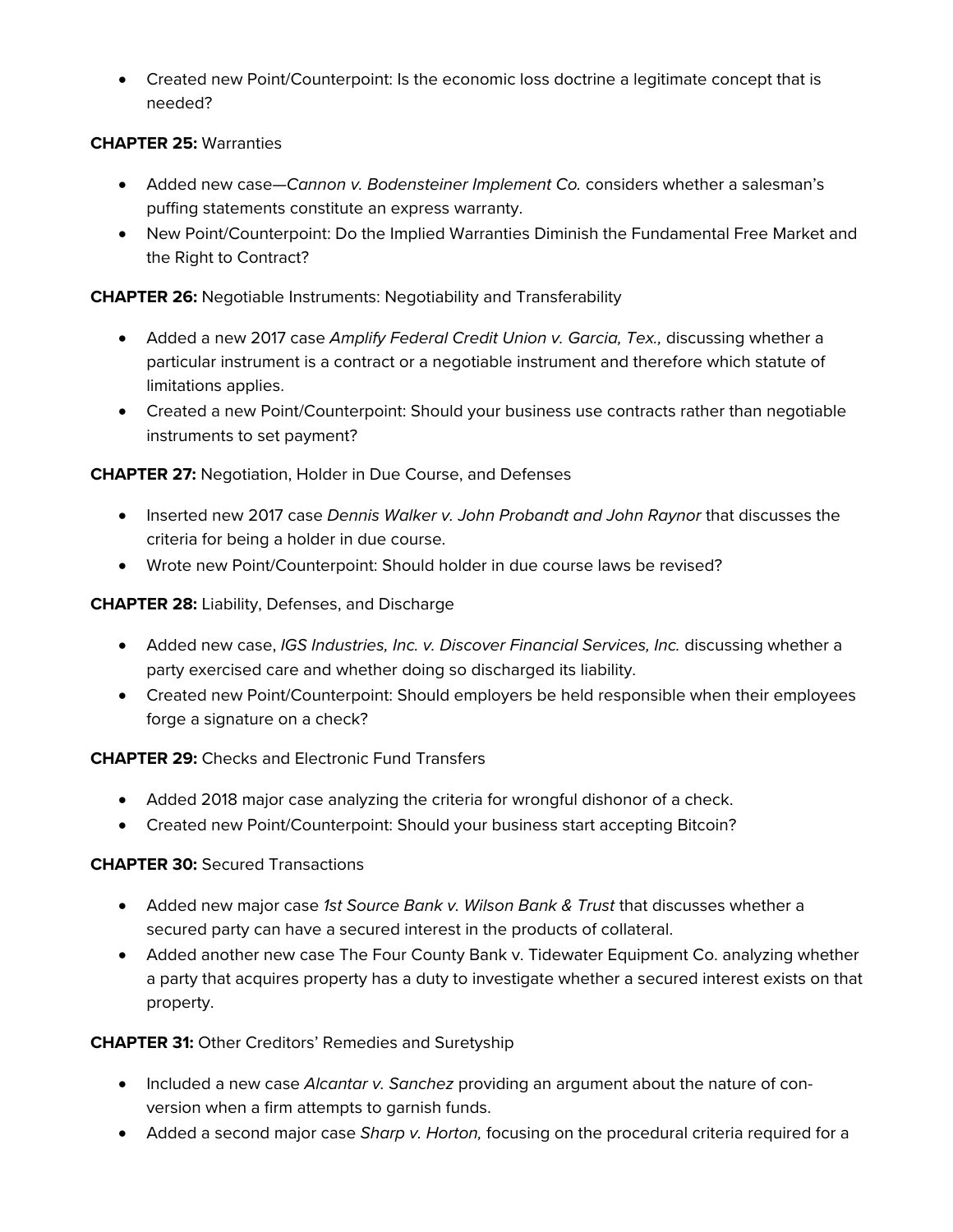• Created new Point/Counterpoint: Is the economic loss doctrine a legitimate concept that is needed?

### **CHAPTER 25:** Warranties

- Added new case—*Cannon v. Bodensteiner Implement Co.* considers whether a salesman's puffing statements constitute an express warranty.
- New Point/Counterpoint: Do the Implied Warranties Diminish the Fundamental Free Market and the Right to Contract?

### **CHAPTER 26:** Negotiable Instruments: Negotiability and Transferability

- Added a new 2017 case *Amplify Federal Credit Union v. Garcia, Tex.,* discussing whether a particular instrument is a contract or a negotiable instrument and therefore which statute of limitations applies.
- Created a new Point/Counterpoint: Should your business use contracts rather than negotiable instruments to set payment?

### **CHAPTER 27:** Negotiation, Holder in Due Course, and Defenses

- Inserted new 2017 case *Dennis Walker v. John Probandt and John Raynor* that discusses the criteria for being a holder in due course.
- Wrote new Point/Counterpoint: Should holder in due course laws be revised?

### **CHAPTER 28:** Liability, Defenses, and Discharge

- Added new case, *IGS Industries, Inc. v. Discover Financial Services, Inc. discussing whether a* party exercised care and whether doing so discharged its liability.
- Created new Point/Counterpoint: Should employers be held responsible when their employees forge a signature on a check?

### **CHAPTER 29:** Checks and Electronic Fund Transfers

- Added 2018 major case analyzing the criteria for wrongful dishonor of a check.
- Created new Point/Counterpoint: Should your business start accepting Bitcoin?

### **CHAPTER 30:** Secured Transactions

- Added new major case *1st Source Bank v. Wilson Bank & Trust* that discusses whether a secured party can have a secured interest in the products of collateral.
- Added another new case The Four County Bank v. Tidewater Equipment Co. analyzing whether a party that acquires property has a duty to investigate whether a secured interest exists on that property.

### **CHAPTER 31:** Other Creditors' Remedies and Suretyship

- Included a new case *Alcantar v. Sanchez* providing an argument about the nature of conversion when a firm attempts to garnish funds.
- Added a second major case *Sharp v. Horton,* focusing on the procedural criteria required for a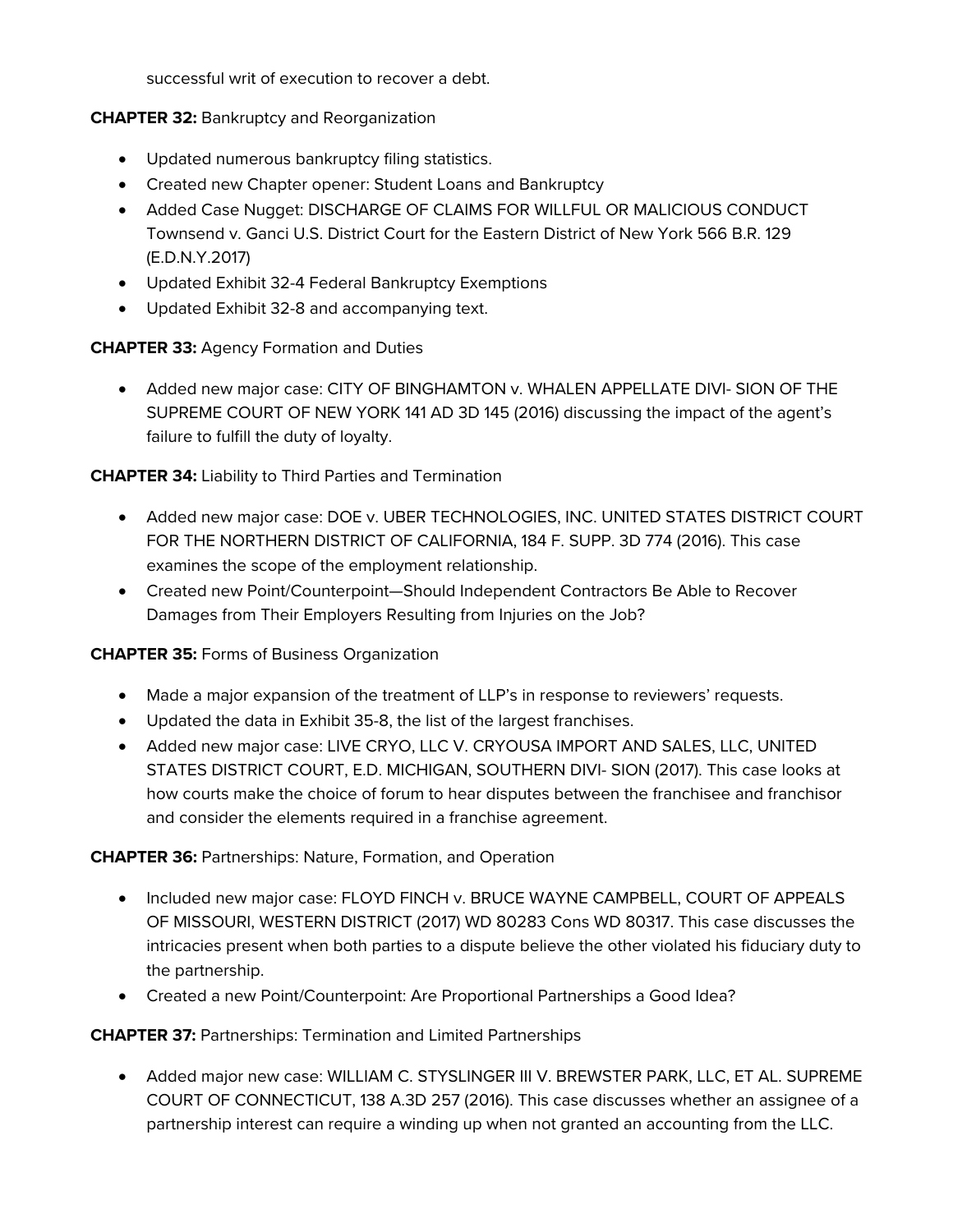successful writ of execution to recover a debt.

### **CHAPTER 32:** Bankruptcy and Reorganization

- Updated numerous bankruptcy filing statistics.
- Created new Chapter opener: Student Loans and Bankruptcy
- Added Case Nugget: DISCHARGE OF CLAIMS FOR WILLFUL OR MALICIOUS CONDUCT Townsend v. Ganci U.S. District Court for the Eastern District of New York 566 B.R. 129 (E.D.N.Y.2017)
- Updated Exhibit 32-4 Federal Bankruptcy Exemptions
- Updated Exhibit 32-8 and accompanying text.

### **CHAPTER 33:** Agency Formation and Duties

• Added new major case: CITY OF BINGHAMTON v. WHALEN APPELLATE DIVI- SION OF THE SUPREME COURT OF NEW YORK 141 AD 3D 145 (2016) discussing the impact of the agent's failure to fulfill the duty of loyalty.

### **CHAPTER 34:** Liability to Third Parties and Termination

- Added new major case: DOE v. UBER TECHNOLOGIES, INC. UNITED STATES DISTRICT COURT FOR THE NORTHERN DISTRICT OF CALIFORNIA, 184 F. SUPP. 3D 774 (2016). This case examines the scope of the employment relationship.
- Created new Point/Counterpoint—Should Independent Contractors Be Able to Recover Damages from Their Employers Resulting from Injuries on the Job?

### **CHAPTER 35:** Forms of Business Organization

- Made a major expansion of the treatment of LLP's in response to reviewers' requests.
- Updated the data in Exhibit 35-8, the list of the largest franchises.
- Added new major case: LIVE CRYO, LLC V. CRYOUSA IMPORT AND SALES, LLC, UNITED STATES DISTRICT COURT, E.D. MICHIGAN, SOUTHERN DIVI- SION (2017). This case looks at how courts make the choice of forum to hear disputes between the franchisee and franchisor and consider the elements required in a franchise agreement.

### **CHAPTER 36:** Partnerships: Nature, Formation, and Operation

- Included new major case: FLOYD FINCH v. BRUCE WAYNE CAMPBELL, COURT OF APPEALS OF MISSOURI, WESTERN DISTRICT (2017) WD 80283 Cons WD 80317. This case discusses the intricacies present when both parties to a dispute believe the other violated his fiduciary duty to the partnership.
- Created a new Point/Counterpoint: Are Proportional Partnerships a Good Idea?

### **CHAPTER 37:** Partnerships: Termination and Limited Partnerships

• Added major new case: WILLIAM C. STYSLINGER III V. BREWSTER PARK, LLC, ET AL. SUPREME COURT OF CONNECTICUT, 138 A.3D 257 (2016). This case discusses whether an assignee of a partnership interest can require a winding up when not granted an accounting from the LLC.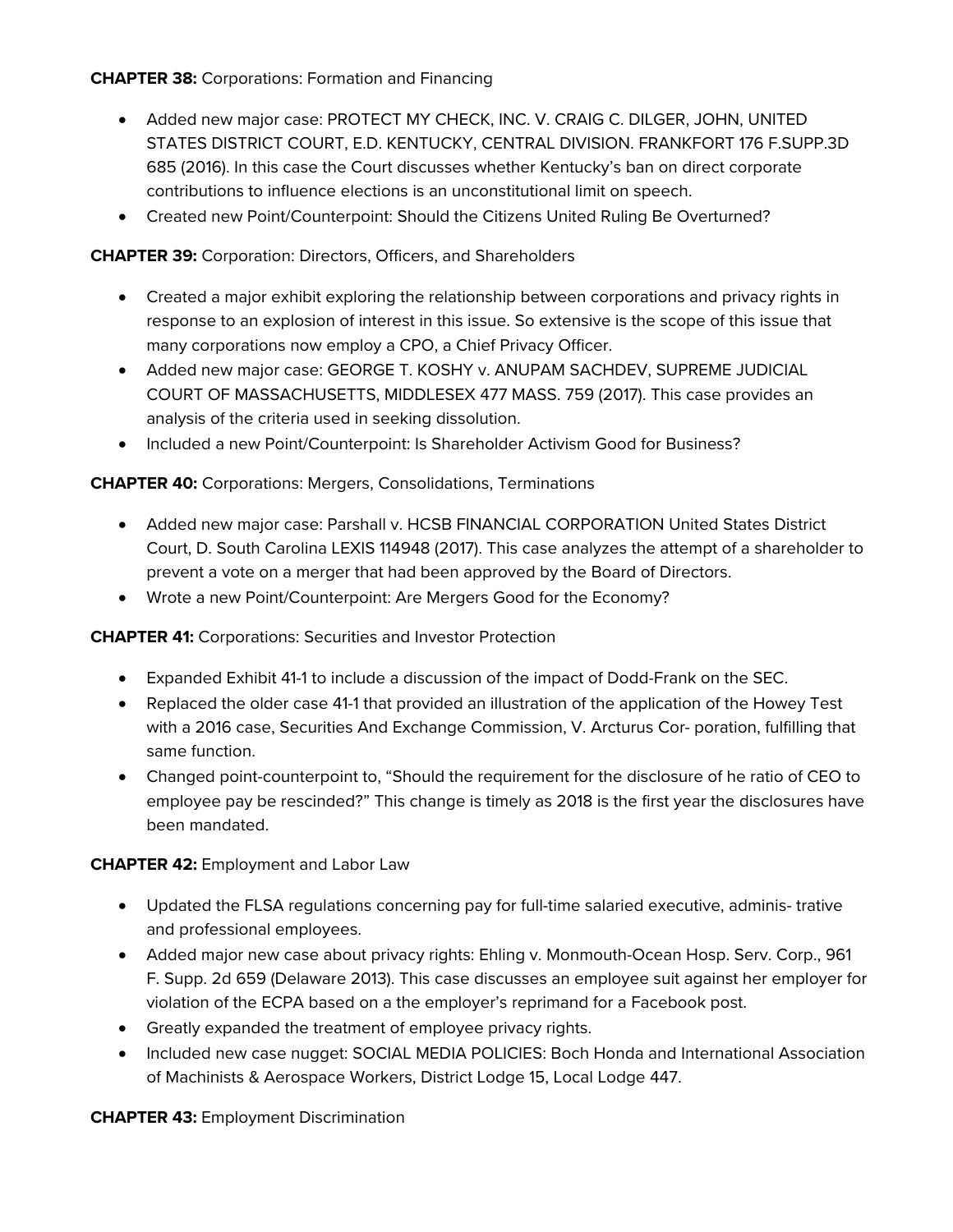### **CHAPTER 38:** Corporations: Formation and Financing

- Added new major case: PROTECT MY CHECK, INC. V. CRAIG C. DILGER, JOHN, UNITED STATES DISTRICT COURT, E.D. KENTUCKY, CENTRAL DIVISION. FRANKFORT 176 F.SUPP.3D 685 (2016). In this case the Court discusses whether Kentucky's ban on direct corporate contributions to influence elections is an unconstitutional limit on speech.
- Created new Point/Counterpoint: Should the Citizens United Ruling Be Overturned?

### **CHAPTER 39:** Corporation: Directors, Officers, and Shareholders

- Created a major exhibit exploring the relationship between corporations and privacy rights in response to an explosion of interest in this issue. So extensive is the scope of this issue that many corporations now employ a CPO, a Chief Privacy Officer.
- Added new major case: GEORGE T. KOSHY v. ANUPAM SACHDEV. SUPREME JUDICIAL COURT OF MASSACHUSETTS, MIDDLESEX 477 MASS. 759 (2017). This case provides an analysis of the criteria used in seeking dissolution.
- Included a new Point/Counterpoint: Is Shareholder Activism Good for Business?

### **CHAPTER 40:** Corporations: Mergers, Consolidations, Terminations

- Added new major case: Parshall v. HCSB FINANCIAL CORPORATION United States District Court, D. South Carolina LEXIS 114948 (2017). This case analyzes the attempt of a shareholder to prevent a vote on a merger that had been approved by the Board of Directors.
- Wrote a new Point/Counterpoint: Are Mergers Good for the Economy?

### **CHAPTER 41:** Corporations: Securities and Investor Protection

- Expanded Exhibit 41-1 to include a discussion of the impact of Dodd-Frank on the SEC.
- Replaced the older case 41-1 that provided an illustration of the application of the Howey Test with a 2016 case, Securities And Exchange Commission, V. Arcturus Cor- poration, fulfilling that same function.
- Changed point-counterpoint to, "Should the requirement for the disclosure of he ratio of CEO to employee pay be rescinded?" This change is timely as 2018 is the first year the disclosures have been mandated.

### **CHAPTER 42:** Employment and Labor Law

- Updated the FLSA regulations concerning pay for full-time salaried executive, adminis- trative and professional employees.
- Added major new case about privacy rights: Ehling v. Monmouth-Ocean Hosp. Serv. Corp., 961 F. Supp. 2d 659 (Delaware 2013). This case discusses an employee suit against her employer for violation of the ECPA based on a the employer's reprimand for a Facebook post.
- Greatly expanded the treatment of employee privacy rights.
- Included new case nugget: SOCIAL MEDIA POLICIES: Boch Honda and International Association of Machinists & Aerospace Workers, District Lodge 15, Local Lodge 447.

### **CHAPTER 43:** Employment Discrimination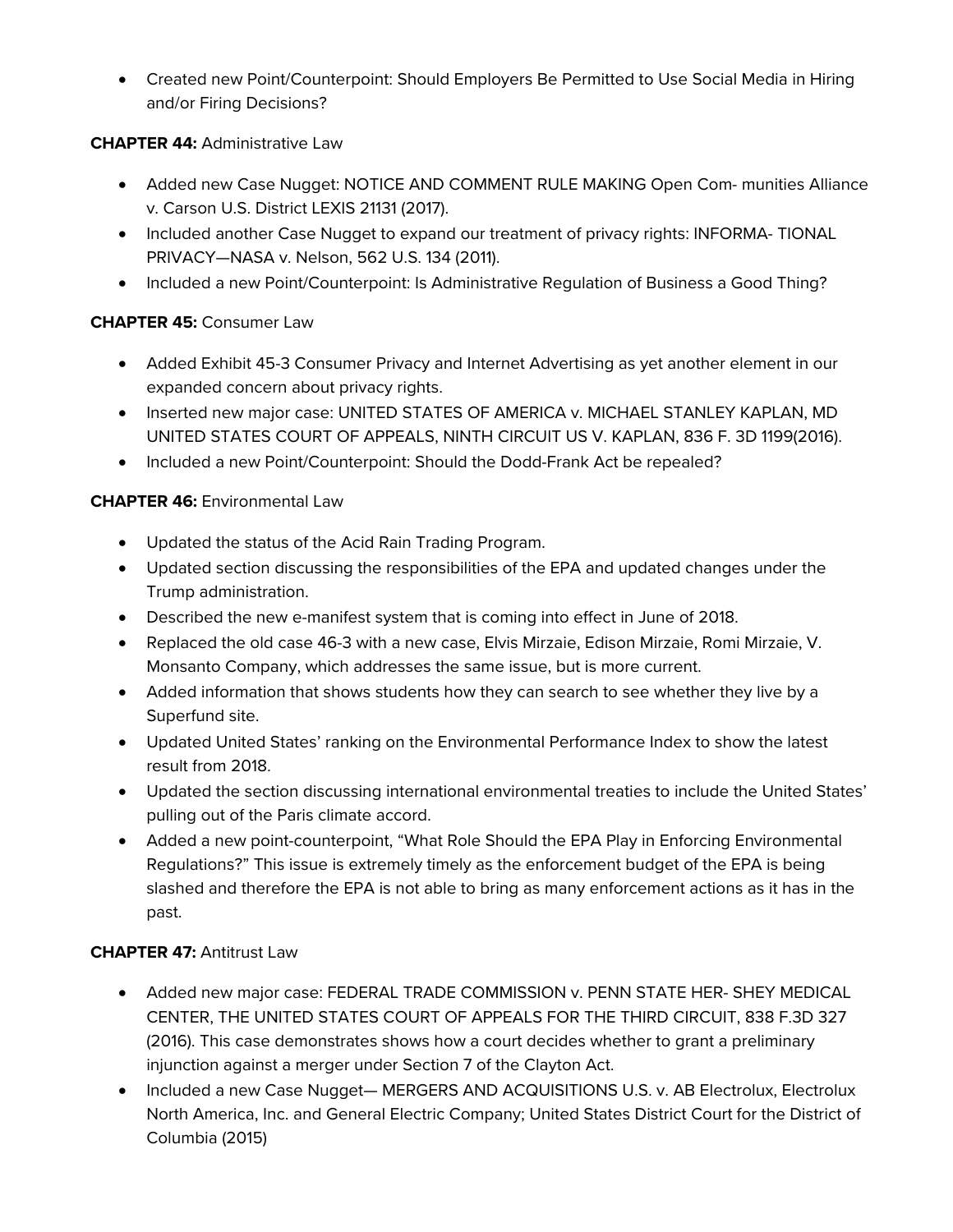• Created new Point/Counterpoint: Should Employers Be Permitted to Use Social Media in Hiring and/or Firing Decisions?

### **CHAPTER 44:** Administrative Law

- Added new Case Nugget: NOTICE AND COMMENT RULE MAKING Open Com- munities Alliance v. Carson U.S. District LEXIS 21131 (2017).
- Included another Case Nugget to expand our treatment of privacy rights: INFORMA-TIONAL PRIVACY—NASA v. Nelson, 562 U.S. 134 (2011).
- Included a new Point/Counterpoint: Is Administrative Regulation of Business a Good Thing?

### **CHAPTER 45:** Consumer Law

- Added Exhibit 45-3 Consumer Privacy and Internet Advertising as yet another element in our expanded concern about privacy rights.
- Inserted new major case: UNITED STATES OF AMERICA v. MICHAEL STANLEY KAPLAN, MD UNITED STATES COURT OF APPEALS, NINTH CIRCUIT US V. KAPLAN, 836 F. 3D 1199(2016).
- Included a new Point/Counterpoint: Should the Dodd-Frank Act be repealed?

### **CHAPTER 46:** Environmental Law

- Updated the status of the Acid Rain Trading Program.
- Updated section discussing the responsibilities of the EPA and updated changes under the Trump administration.
- Described the new e-manifest system that is coming into effect in June of 2018.
- Replaced the old case 46-3 with a new case, Elvis Mirzaie, Edison Mirzaie, Romi Mirzaie, V. Monsanto Company, which addresses the same issue, but is more current.
- Added information that shows students how they can search to see whether they live by a Superfund site.
- Updated United States' ranking on the Environmental Performance Index to show the latest result from 2018.
- Updated the section discussing international environmental treaties to include the United States' pulling out of the Paris climate accord.
- Added a new point-counterpoint, "What Role Should the EPA Play in Enforcing Environmental Regulations?" This issue is extremely timely as the enforcement budget of the EPA is being slashed and therefore the EPA is not able to bring as many enforcement actions as it has in the past.

### **CHAPTER 47:** Antitrust Law

- Added new major case: FEDERAL TRADE COMMISSION v. PENN STATE HER- SHEY MEDICAL CENTER, THE UNITED STATES COURT OF APPEALS FOR THE THIRD CIRCUIT, 838 F.3D 327 (2016). This case demonstrates shows how a court decides whether to grant a preliminary injunction against a merger under Section 7 of the Clayton Act.
- Included a new Case Nugget— MERGERS AND ACQUISITIONS U.S. v. AB Electrolux, Electrolux North America, Inc. and General Electric Company; United States District Court for the District of Columbia (2015)